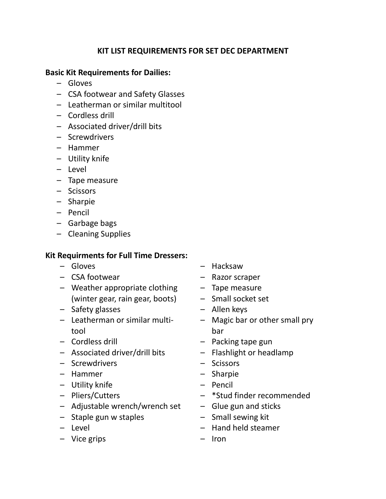## **KIT LIST REQUIREMENTS FOR SET DEC DEPARTMENT**

## **Basic Kit Requirements for Dailies:**

- Gloves
- CSA footwear and Safety Glasses
- Leatherman or similar multitool
- Cordless drill
- Associated driver/drill bits
- Screwdrivers
- Hammer
- Utility knife
- Level
- Tape measure
- Scissors
- Sharpie
- Pencil
- Garbage bags
- Cleaning Supplies

## **Kit Requirments for Full Time Dressers:**

- Gloves
- CSA footwear
- Weather appropriate clothing (winter gear, rain gear, boots)
- Safety glasses
- Leatherman or similar multitool
- Cordless drill
- Associated driver/drill bits
- Screwdrivers
- Hammer
- Utility knife
- Pliers/Cutters
- Adjustable wrench/wrench set
- Staple gun w staples
- Level
- Vice grips
- Hacksaw
- Razor scraper
- Tape measure
- Small socket set
- Allen keys
- Magic bar or other small pry bar
- Packing tape gun
- Flashlight or headlamp
- Scissors
- Sharpie
- Pencil
- \*Stud finder recommended
- Glue gun and sticks
- Small sewing kit
- Hand held steamer
- Iron